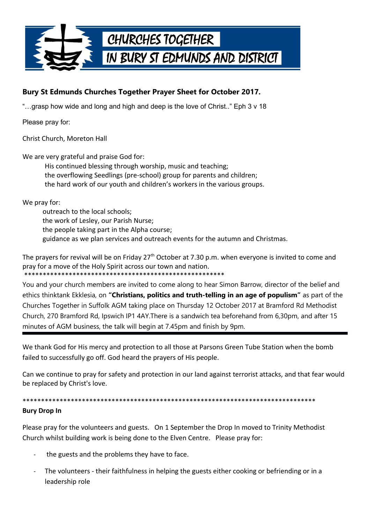

## Bury St Edmunds Churches Together Prayer Sheet for October 2017.

"...grasp how wide and long and high and deep is the love of Christ.." Eph 3 y 18

Please pray for:

Christ Church, Moreton Hall

We are very grateful and praise God for:

His continued blessing through worship, music and teaching; the overflowing Seedlings (pre-school) group for parents and children; the hard work of our youth and children's workers in the various groups.

We pray for:

outreach to the local schools: the work of Lesley, our Parish Nurse; the people taking part in the Alpha course; guidance as we plan services and outreach events for the autumn and Christmas.

The prayers for revival will be on Friday 27<sup>th</sup> October at 7.30 p.m. when everyone is invited to come and pray for a move of the Holy Spirit across our town and nation.

You and your church members are invited to come along to hear Simon Barrow, director of the belief and ethics thinktank Ekklesia, on "Christians, politics and truth-telling in an age of populism" as part of the Churches Together in Suffolk AGM taking place on Thursday 12 October 2017 at Bramford Rd Methodist Church, 270 Bramford Rd, Ipswich IP1 4AY. There is a sandwich tea beforehand from 6,30pm, and after 15 minutes of AGM business, the talk will begin at 7.45pm and finish by 9pm.

We thank God for His mercy and protection to all those at Parsons Green Tube Station when the bomb failed to successfully go off. God heard the prayers of His people.

Can we continue to pray for safety and protection in our land against terrorist attacks, and that fear would be replaced by Christ's love.

\*\*\*\*\*\*\*\*\* **Bury Drop In** 

Please pray for the volunteers and guests. On 1 September the Drop In moved to Trinity Methodist Church whilst building work is being done to the Elven Centre. Please pray for:

- the guests and the problems they have to face.
- The volunteers their faithfulness in helping the guests either cooking or befriending or in a leadership role